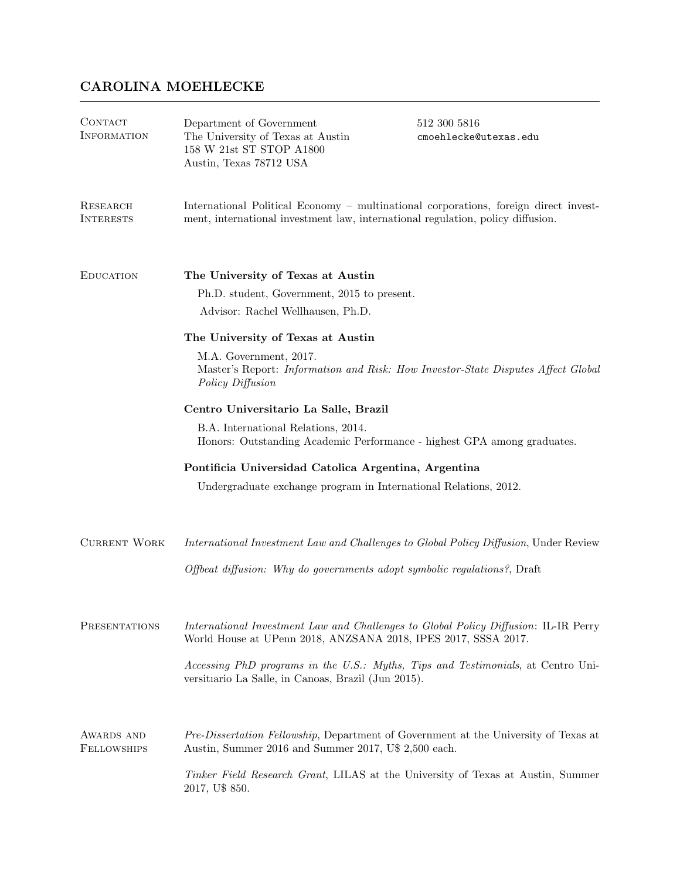## CAROLINA MOEHLECKE

| CONTACT<br><b>INFORMATION</b>    | Department of Government<br>The University of Texas at Austin<br>158 W 21st ST STOP A1800<br>Austin, Texas 78712 USA                                                    | 512 300 5816<br>cmoehlecke@utexas.edu |  |
|----------------------------------|-------------------------------------------------------------------------------------------------------------------------------------------------------------------------|---------------------------------------|--|
| RESEARCH<br><b>INTERESTS</b>     | International Political Economy – multinational corporations, foreign direct invest-<br>ment, international investment law, international regulation, policy diffusion. |                                       |  |
| <b>EDUCATION</b>                 | The University of Texas at Austin<br>Ph.D. student, Government, 2015 to present.<br>Advisor: Rachel Wellhausen, Ph.D.                                                   |                                       |  |
|                                  | The University of Texas at Austin                                                                                                                                       |                                       |  |
|                                  | M.A. Government, 2017.<br>Master's Report: Information and Risk: How Investor-State Disputes Affect Global<br>Policy Diffusion                                          |                                       |  |
|                                  | Centro Universitario La Salle, Brazil                                                                                                                                   |                                       |  |
|                                  | B.A. International Relations, 2014.<br>Honors: Outstanding Academic Performance - highest GPA among graduates.                                                          |                                       |  |
|                                  | Pontificia Universidad Catolica Argentina, Argentina                                                                                                                    |                                       |  |
|                                  | Undergraduate exchange program in International Relations, 2012.                                                                                                        |                                       |  |
| <b>CURRENT WORK</b>              | International Investment Law and Challenges to Global Policy Diffusion, Under Review                                                                                    |                                       |  |
|                                  | Offbeat diffusion: Why do governments adopt symbolic regulations?, Draft                                                                                                |                                       |  |
| PRESENTATIONS                    | International Investment Law and Challenges to Global Policy Diffusion: IL-IR Perry<br>World House at UPenn 2018, ANZSANA 2018, IPES 2017, SSSA 2017.                   |                                       |  |
|                                  | Accessing PhD programs in the U.S.: Myths, Tips and Testimonials, at Centro Uni-<br>versitario La Salle, in Canoas, Brazil (Jun 2015).                                  |                                       |  |
| AWARDS AND<br><b>FELLOWSHIPS</b> | Pre-Dissertation Fellowship, Department of Government at the University of Texas at<br>Austin, Summer 2016 and Summer 2017, U\$ 2,500 each.                             |                                       |  |
|                                  | Tinker Field Research Grant, LILAS at the University of Texas at Austin, Summer<br>2017, U\$ 850.                                                                       |                                       |  |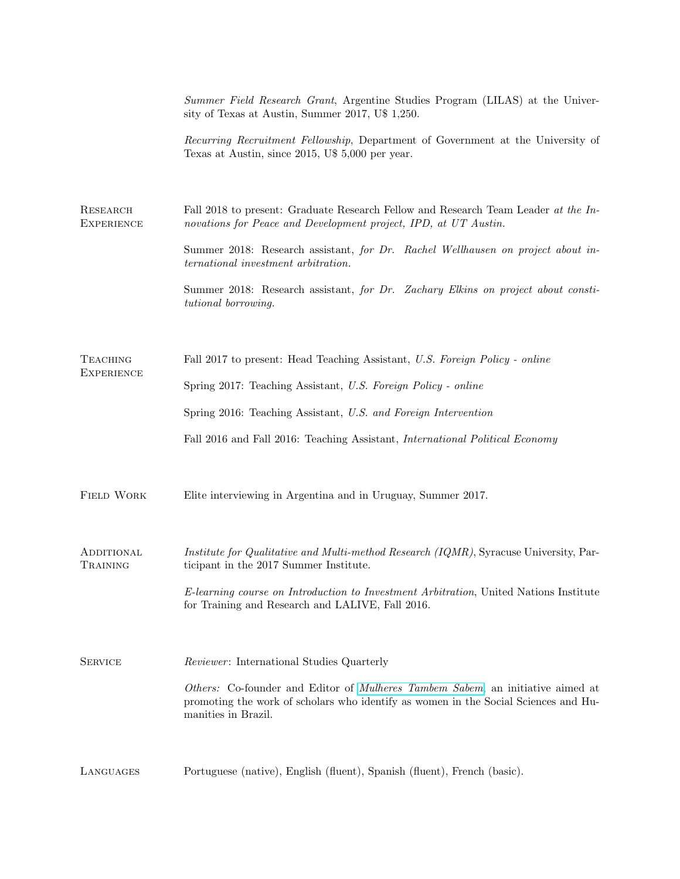|                                      | Summer Field Research Grant, Argentine Studies Program (LILAS) at the Univer-<br>sity of Texas at Austin, Summer 2017, U\$ 1,250.                                                                    |  |
|--------------------------------------|------------------------------------------------------------------------------------------------------------------------------------------------------------------------------------------------------|--|
|                                      | Recurring Recruitment Fellowship, Department of Government at the University of<br>Texas at Austin, since 2015, U\$ 5,000 per year.                                                                  |  |
| RESEARCH<br><b>EXPERIENCE</b>        | Fall 2018 to present: Graduate Research Fellow and Research Team Leader at the In-<br>novations for Peace and Development project, IPD, at UT Austin.                                                |  |
|                                      | Summer 2018: Research assistant, for Dr. Rachel Wellhausen on project about in-<br>ternational investment arbitration.                                                                               |  |
|                                      | Summer 2018: Research assistant, for Dr. Zachary Elkins on project about consti-<br>tutional borrowing.                                                                                              |  |
| <b>TEACHING</b><br><b>EXPERIENCE</b> | Fall 2017 to present: Head Teaching Assistant, U.S. Foreign Policy - online                                                                                                                          |  |
|                                      | Spring 2017: Teaching Assistant, U.S. Foreign Policy - online                                                                                                                                        |  |
|                                      | Spring 2016: Teaching Assistant, U.S. and Foreign Intervention                                                                                                                                       |  |
|                                      | Fall 2016 and Fall 2016: Teaching Assistant, <i>International Political Economy</i>                                                                                                                  |  |
| <b>FIELD WORK</b>                    | Elite interviewing in Argentina and in Uruguay, Summer 2017.                                                                                                                                         |  |
| ADDITIONAL<br>TRAINING               | <i>Institute for Qualitative and Multi-method Research (IQMR)</i> , Syracuse University, Par-<br>ticipant in the 2017 Summer Institute.                                                              |  |
|                                      | E-learning course on Introduction to Investment Arbitration, United Nations Institute<br>for Training and Research and LALIVE, Fall 2016.                                                            |  |
| <b>SERVICE</b>                       | Reviewer: International Studies Quarterly                                                                                                                                                            |  |
|                                      | Others: Co-founder and Editor of <i>Mulheres Tambem Sabem</i> , an initiative aimed at<br>promoting the work of scholars who identify as women in the Social Sciences and Hu-<br>manities in Brazil. |  |
| LANGUAGES                            | Portuguese (native), English (fluent), Spanish (fluent), French (basic).                                                                                                                             |  |